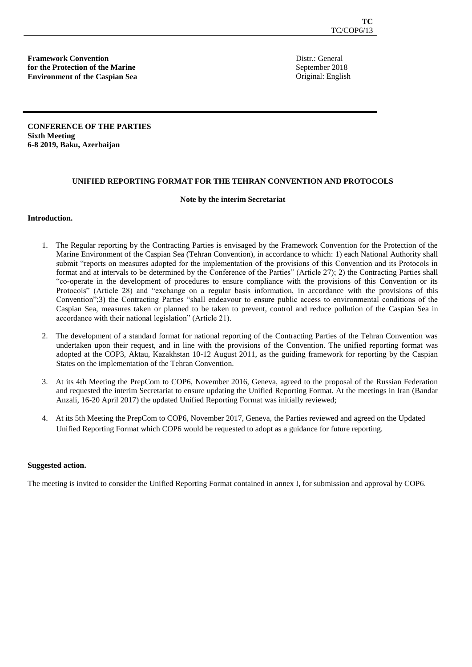**Framework Convention for the Protection of the Marine Environment of the Caspian Sea** Distr.: General September 2018 Original: English

**CONFERENCE OF THE PARTIES Sixth Meeting 6-8 2019, Baku, Azerbaijan** 

### **UNIFIED REPORTING FORMAT FOR THE TEHRAN CONVENTION AND PROTOCOLS**

#### **Note by the interim Secretariat**

#### **Introduction.**

- 1. The Regular reporting by the Contracting Parties is envisaged by the Framework Convention for the Protection of the Marine Environment of the Caspian Sea (Tehran Convention), in accordance to which: 1) each National Authority shall submit "reports on measures adopted for the implementation of the provisions of this Convention and its Protocols in format and at intervals to be determined by the Conference of the Parties" (Article 27); 2) the Contracting Parties shall "co-operate in the development of procedures to ensure compliance with the provisions of this Convention or its Protocols" (Article 28) and "exchange on a regular basis information, in accordance with the provisions of this Convention";3) the Contracting Parties "shall endeavour to ensure public access to environmental conditions of the Caspian Sea, measures taken or planned to be taken to prevent, control and reduce pollution of the Caspian Sea in accordance with their national legislation" (Article 21).
- 2. The development of a standard format for national reporting of the Contracting Parties of the Tehran Convention was undertaken upon their request, and in line with the provisions of the Convention. The unified reporting format was adopted at the COP3, Aktau, Kazakhstan 10-12 August 2011, as the guiding framework for reporting by the Caspian States on the implementation of the Tehran Convention.
- 3. At its 4th Meeting the PrepCom to COP6, November 2016, Geneva, agreed to the proposal of the Russian Federation and requested the interim Secretariat to ensure updating the Unified Reporting Format. At the meetings in Iran (Bandar Anzali, 16-20 April 2017) the updated Unified Reporting Format was initially reviewed;
- 4. At its 5th Meeting the PrepCom to COP6, November 2017, Geneva, the Parties reviewed and agreed on the Updated Unified Reporting Format which COP6 would be requested to adopt as a guidance for future reporting.

#### **Suggested action.**

The meeting is invited to consider the Unified Reporting Format contained in annex I, for submission and approval by COP6.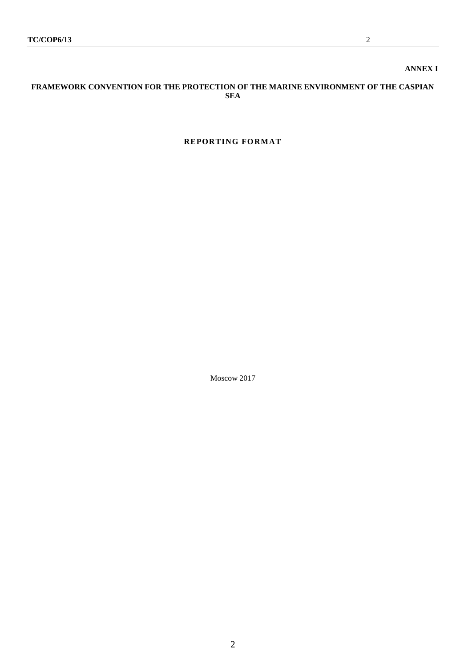## **ANNEX I**

### **FRAMEWORK CONVENTION FOR THE PROTECTION OF THE MARINE ENVIRONMENT OF THE CASPIAN SEA**

## **REPORTING FORMAT**

Moscow 2017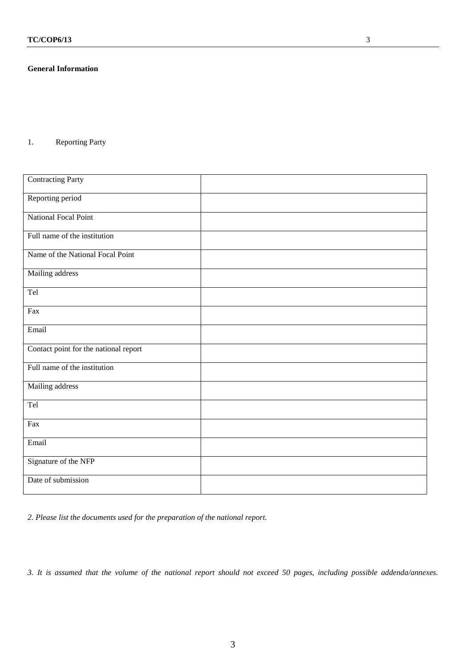## **General Information**

1. Reporting Party

| <b>Contracting Party</b>              |  |
|---------------------------------------|--|
| Reporting period                      |  |
| National Focal Point                  |  |
| Full name of the institution          |  |
| Name of the National Focal Point      |  |
| Mailing address                       |  |
| Tel                                   |  |
| Fax                                   |  |
| Email                                 |  |
| Contact point for the national report |  |
| Full name of the institution          |  |
| Mailing address                       |  |
| Tel                                   |  |
| Fax                                   |  |
| Email                                 |  |
| Signature of the NFP                  |  |
| Date of submission                    |  |

*2. Please list the documents used for the preparation of the national report.*

*3. It is assumed that the volume of the national report should not exceed 50 pages, including possible addenda/annexes.*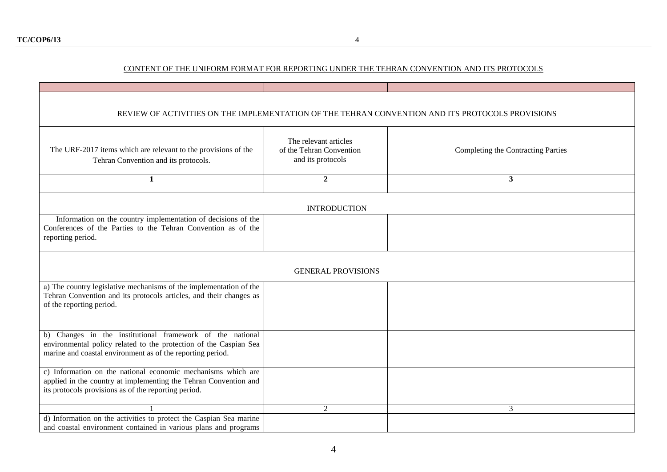# CONTENT OF THE UNIFORM FORMAT FOR REPORTING UNDER THE TEHRAN CONVENTION AND ITS PROTOCOLS

| REVIEW OF ACTIVITIES ON THE IMPLEMENTATION OF THE TEHRAN CONVENTION AND ITS PROTOCOLS PROVISIONS                                                                                             |                                                                        |                                    |
|----------------------------------------------------------------------------------------------------------------------------------------------------------------------------------------------|------------------------------------------------------------------------|------------------------------------|
| The URF-2017 items which are relevant to the provisions of the<br>Tehran Convention and its protocols.                                                                                       | The relevant articles<br>of the Tehran Convention<br>and its protocols | Completing the Contracting Parties |
| $\mathbf{1}$                                                                                                                                                                                 | $\overline{2}$                                                         | $\mathbf{3}$                       |
|                                                                                                                                                                                              | <b>INTRODUCTION</b>                                                    |                                    |
| Information on the country implementation of decisions of the<br>Conferences of the Parties to the Tehran Convention as of the<br>reporting period.                                          |                                                                        |                                    |
|                                                                                                                                                                                              | <b>GENERAL PROVISIONS</b>                                              |                                    |
| a) The country legislative mechanisms of the implementation of the<br>Tehran Convention and its protocols articles, and their changes as<br>of the reporting period.                         |                                                                        |                                    |
| b) Changes in the institutional framework of the national<br>environmental policy related to the protection of the Caspian Sea<br>marine and coastal environment as of the reporting period. |                                                                        |                                    |
| c) Information on the national economic mechanisms which are<br>applied in the country at implementing the Tehran Convention and<br>its protocols provisions as of the reporting period.     |                                                                        |                                    |
|                                                                                                                                                                                              | $\overline{2}$                                                         | 3                                  |
| d) Information on the activities to protect the Caspian Sea marine<br>and coastal environment contained in various plans and programs                                                        |                                                                        |                                    |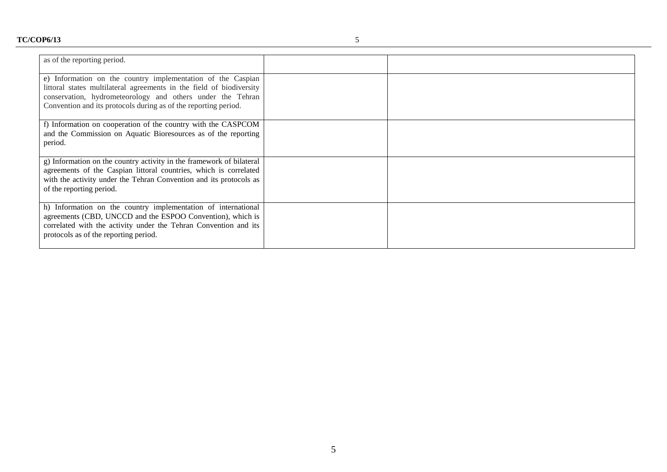| as of the reporting period.                                                                                                                                                                                                                                          |  |
|----------------------------------------------------------------------------------------------------------------------------------------------------------------------------------------------------------------------------------------------------------------------|--|
| e) Information on the country implementation of the Caspian<br>littoral states multilateral agreements in the field of biodiversity<br>conservation, hydrometeorology and others under the Tehran<br>Convention and its protocols during as of the reporting period. |  |
| f) Information on cooperation of the country with the CASPCOM<br>and the Commission on Aquatic Bioresources as of the reporting<br>period.                                                                                                                           |  |
| g) Information on the country activity in the framework of bilateral<br>agreements of the Caspian littoral countries, which is correlated<br>with the activity under the Tehran Convention and its protocols as<br>of the reporting period.                          |  |
| h) Information on the country implementation of international<br>agreements (CBD, UNCCD and the ESPOO Convention), which is<br>correlated with the activity under the Tehran Convention and its<br>protocols as of the reporting period.                             |  |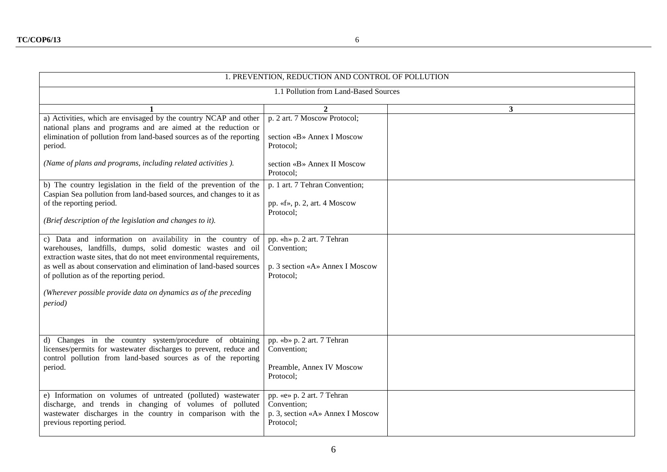| 1. PREVENTION, REDUCTION AND CONTROL OF POLLUTION                                                                                                                                                                                                                                                                                                                                                         |                                                                                            |              |
|-----------------------------------------------------------------------------------------------------------------------------------------------------------------------------------------------------------------------------------------------------------------------------------------------------------------------------------------------------------------------------------------------------------|--------------------------------------------------------------------------------------------|--------------|
| 1.1 Pollution from Land-Based Sources                                                                                                                                                                                                                                                                                                                                                                     |                                                                                            |              |
|                                                                                                                                                                                                                                                                                                                                                                                                           | $\mathbf{2}$                                                                               | $\mathbf{3}$ |
| a) Activities, which are envisaged by the country NCAP and other<br>national plans and programs and are aimed at the reduction or<br>elimination of pollution from land-based sources as of the reporting<br>period.                                                                                                                                                                                      | p. 2 art. 7 Moscow Protocol;<br>section «B» Annex I Moscow<br>Protocol;                    |              |
| (Name of plans and programs, including related activities).                                                                                                                                                                                                                                                                                                                                               | section «B» Annex II Moscow<br>Protocol;                                                   |              |
| b) The country legislation in the field of the prevention of the<br>Caspian Sea pollution from land-based sources, and changes to it as<br>of the reporting period.<br>(Brief description of the legislation and changes to it).                                                                                                                                                                          | p. 1 art. 7 Tehran Convention;<br>pp. «f», p. 2, art. 4 Moscow<br>Protocol;                |              |
| c) Data and information on availability in the country of<br>warehouses, landfills, dumps, solid domestic wastes and oil<br>extraction waste sites, that do not meet environmental requirements,<br>as well as about conservation and elimination of land-based sources<br>of pollution as of the reporting period.<br>(Wherever possible provide data on dynamics as of the preceding<br><i>period</i> ) | pp. «h» p. 2 art. 7 Tehran<br>Convention;<br>p. 3 section «A» Annex I Moscow<br>Protocol;  |              |
| d) Changes in the country system/procedure of obtaining                                                                                                                                                                                                                                                                                                                                                   | pp. «b» p. 2 art. 7 Tehran                                                                 |              |
| licenses/permits for wastewater discharges to prevent, reduce and<br>control pollution from land-based sources as of the reporting<br>period.                                                                                                                                                                                                                                                             | Convention;<br>Preamble, Annex IV Moscow<br>Protocol;                                      |              |
| e) Information on volumes of untreated (polluted) wastewater<br>discharge, and trends in changing of volumes of polluted<br>wastewater discharges in the country in comparison with the<br>previous reporting period.                                                                                                                                                                                     | pp. «e» p. 2 art. 7 Tehran<br>Convention;<br>p. 3, section «A» Annex I Moscow<br>Protocol; |              |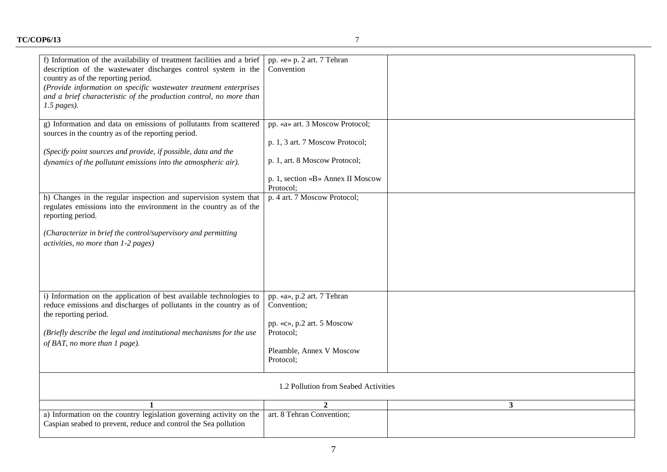| f) Information of the availability of treatment facilities and a brief<br>description of the wastewater discharges control system in the<br>country as of the reporting period.<br>(Provide information on specific wastewater treatment enterprises<br>and a brief characteristic of the production control, no more than<br>$1.5$ pages). | pp. «e» p. 2 art. 7 Tehran<br>Convention                           |              |
|---------------------------------------------------------------------------------------------------------------------------------------------------------------------------------------------------------------------------------------------------------------------------------------------------------------------------------------------|--------------------------------------------------------------------|--------------|
| g) Information and data on emissions of pollutants from scattered<br>sources in the country as of the reporting period.                                                                                                                                                                                                                     | pp. «a» art. 3 Moscow Protocol;<br>p. 1, 3 art. 7 Moscow Protocol; |              |
| (Specify point sources and provide, if possible, data and the                                                                                                                                                                                                                                                                               |                                                                    |              |
| dynamics of the pollutant emissions into the atmospheric air).                                                                                                                                                                                                                                                                              | p. 1, art. 8 Moscow Protocol;                                      |              |
|                                                                                                                                                                                                                                                                                                                                             | p. 1, section «B» Annex II Moscow<br>Protocol;                     |              |
| h) Changes in the regular inspection and supervision system that<br>regulates emissions into the environment in the country as of the<br>reporting period.                                                                                                                                                                                  | p. 4 art. 7 Moscow Protocol;                                       |              |
| (Characterize in brief the control/supervisory and permitting<br>activities, no more than 1-2 pages)                                                                                                                                                                                                                                        |                                                                    |              |
|                                                                                                                                                                                                                                                                                                                                             |                                                                    |              |
| i) Information on the application of best available technologies to<br>reduce emissions and discharges of pollutants in the country as of<br>the reporting period.                                                                                                                                                                          | pp. «a», p.2 art. 7 Tehran<br>Convention;                          |              |
| (Briefly describe the legal and institutional mechanisms for the use                                                                                                                                                                                                                                                                        | pp. «c», p.2 art. 5 Moscow<br>Protocol:                            |              |
| of BAT, no more than 1 page).                                                                                                                                                                                                                                                                                                               | Pleamble, Annex V Moscow<br>Protocol;                              |              |
|                                                                                                                                                                                                                                                                                                                                             | 1.2 Pollution from Seabed Activities                               |              |
|                                                                                                                                                                                                                                                                                                                                             | $\mathbf{2}$                                                       | $\mathbf{3}$ |
| a) Information on the country legislation governing activity on the<br>Caspian seabed to prevent, reduce and control the Sea pollution                                                                                                                                                                                                      | art. 8 Tehran Convention;                                          |              |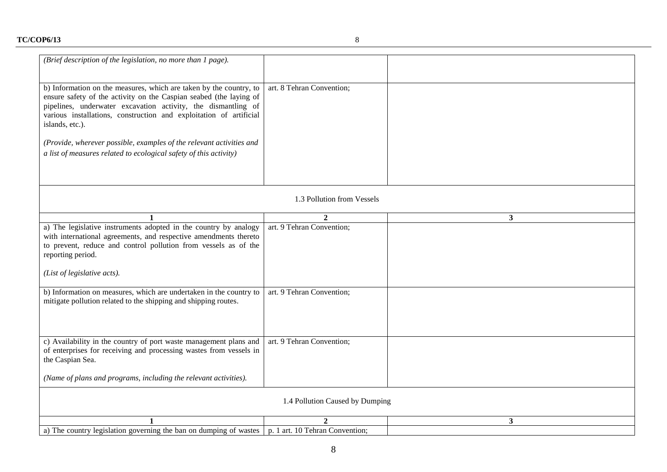| (Brief description of the legislation, no more than 1 page).                                                                                                                                                                                                                                       |                            |              |
|----------------------------------------------------------------------------------------------------------------------------------------------------------------------------------------------------------------------------------------------------------------------------------------------------|----------------------------|--------------|
|                                                                                                                                                                                                                                                                                                    |                            |              |
| b) Information on the measures, which are taken by the country, to<br>ensure safety of the activity on the Caspian seabed (the laying of<br>pipelines, underwater excavation activity, the dismantling of<br>various installations, construction and exploitation of artificial<br>islands, etc.). | art. 8 Tehran Convention;  |              |
| (Provide, wherever possible, examples of the relevant activities and                                                                                                                                                                                                                               |                            |              |
| a list of measures related to ecological safety of this activity)                                                                                                                                                                                                                                  |                            |              |
|                                                                                                                                                                                                                                                                                                    |                            |              |
|                                                                                                                                                                                                                                                                                                    |                            |              |
|                                                                                                                                                                                                                                                                                                    | 1.3 Pollution from Vessels |              |
|                                                                                                                                                                                                                                                                                                    |                            |              |
| 1                                                                                                                                                                                                                                                                                                  | $\overline{2}$             | $\mathbf{3}$ |
| a) The legislative instruments adopted in the country by analogy<br>with international agreements, and respective amendments thereto<br>to prevent, reduce and control pollution from vessels as of the<br>reporting period.                                                                       | art. 9 Tehran Convention;  |              |
| (List of legislative acts).                                                                                                                                                                                                                                                                        |                            |              |
| b) Information on measures, which are undertaken in the country to<br>mitigate pollution related to the shipping and shipping routes.                                                                                                                                                              | art. 9 Tehran Convention;  |              |
| c) Availability in the country of port waste management plans and<br>of enterprises for receiving and processing wastes from vessels in<br>the Caspian Sea.                                                                                                                                        | art. 9 Tehran Convention;  |              |
| (Name of plans and programs, including the relevant activities).                                                                                                                                                                                                                                   |                            |              |
| 1.4 Pollution Caused by Dumping                                                                                                                                                                                                                                                                    |                            |              |
|                                                                                                                                                                                                                                                                                                    | $\overline{2}$             | 3            |
| a) The country legislation governing the ban on dumping of wastes $\vert p. 1 \text{ art. } 10 \text{ Tehran Convention};$                                                                                                                                                                         |                            |              |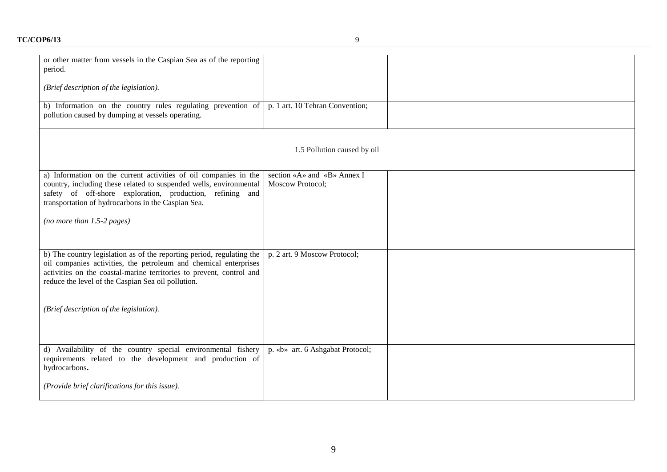# **TC/COP6/13** 9

| or other matter from vessels in the Caspian Sea as of the reporting<br>period.                                    |                                  |  |
|-------------------------------------------------------------------------------------------------------------------|----------------------------------|--|
| (Brief description of the legislation).                                                                           |                                  |  |
| b) Information on the country rules regulating prevention of<br>pollution caused by dumping at vessels operating. | p. 1 art. 10 Tehran Convention;  |  |
|                                                                                                                   | 1.5 Pollution caused by oil      |  |
| a) Information on the current activities of oil companies in the                                                  | section «A» and «B» Annex I      |  |
| country, including these related to suspended wells, environmental                                                | Moscow Protocol;                 |  |
| safety of off-shore exploration, production, refining and                                                         |                                  |  |
| transportation of hydrocarbons in the Caspian Sea.                                                                |                                  |  |
| (no more than $1.5-2$ pages)                                                                                      |                                  |  |
|                                                                                                                   |                                  |  |
|                                                                                                                   |                                  |  |
| b) The country legislation as of the reporting period, regulating the                                             | p. 2 art. 9 Moscow Protocol;     |  |
| oil companies activities, the petroleum and chemical enterprises                                                  |                                  |  |
| activities on the coastal-marine territories to prevent, control and                                              |                                  |  |
| reduce the level of the Caspian Sea oil pollution.                                                                |                                  |  |
|                                                                                                                   |                                  |  |
| (Brief description of the legislation).                                                                           |                                  |  |
|                                                                                                                   |                                  |  |
|                                                                                                                   |                                  |  |
| d) Availability of the country special environmental fishery                                                      | p. «b» art. 6 Ashgabat Protocol; |  |
| requirements related to the development and production of                                                         |                                  |  |
| hydrocarbons.                                                                                                     |                                  |  |
| (Provide brief clarifications for this issue).                                                                    |                                  |  |
|                                                                                                                   |                                  |  |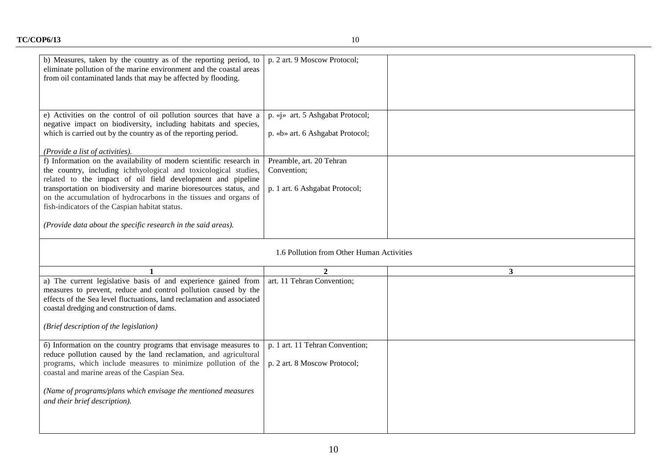┯

 $\overline{\phantom{0}}$ 

| b) Measures, taken by the country as of the reporting period, to<br>eliminate pollution of the marine environment and the coastal areas<br>from oil contaminated lands that may be affected by flooding. | p. 2 art. 9 Moscow Protocol;              |   |
|----------------------------------------------------------------------------------------------------------------------------------------------------------------------------------------------------------|-------------------------------------------|---|
| e) Activities on the control of oil pollution sources that have a                                                                                                                                        | p. «j» art. 5 Ashgabat Protocol;          |   |
| negative impact on biodiversity, including habitats and species,<br>which is carried out by the country as of the reporting period.                                                                      | p. «b» art. 6 Ashgabat Protocol;          |   |
|                                                                                                                                                                                                          |                                           |   |
| (Provide a list of activities).<br>f) Information on the availability of modern scientific research in                                                                                                   | Preamble, art. 20 Tehran                  |   |
| the country, including ichthyological and toxicological studies,                                                                                                                                         | Convention;                               |   |
| related to the impact of oil field development and pipeline                                                                                                                                              |                                           |   |
| transportation on biodiversity and marine bioresources status, and<br>on the accumulation of hydrocarbons in the tissues and organs of                                                                   | p. 1 art. 6 Ashgabat Protocol;            |   |
| fish-indicators of the Caspian habitat status.                                                                                                                                                           |                                           |   |
| (Provide data about the specific research in the said areas).                                                                                                                                            |                                           |   |
|                                                                                                                                                                                                          |                                           |   |
|                                                                                                                                                                                                          | 1.6 Pollution from Other Human Activities |   |
|                                                                                                                                                                                                          | $\mathbf{2}$                              | 3 |
| a) The current legislative basis of and experience gained from                                                                                                                                           | art. 11 Tehran Convention;                |   |
| measures to prevent, reduce and control pollution caused by the<br>effects of the Sea level fluctuations, land reclamation and associated                                                                |                                           |   |
| coastal dredging and construction of dams.                                                                                                                                                               |                                           |   |
| (Brief description of the legislation)                                                                                                                                                                   |                                           |   |
| 6) Information on the country programs that envisage measures to                                                                                                                                         | p. 1 art. 11 Tehran Convention;           |   |
| reduce pollution caused by the land reclamation, and agricultural<br>programs, which include measures to minimize pollution of the                                                                       |                                           |   |
| coastal and marine areas of the Caspian Sea.                                                                                                                                                             | p. 2 art. 8 Moscow Protocol;              |   |
|                                                                                                                                                                                                          |                                           |   |
| (Name of programs/plans which envisage the mentioned measures<br>and their brief description).                                                                                                           |                                           |   |
|                                                                                                                                                                                                          |                                           |   |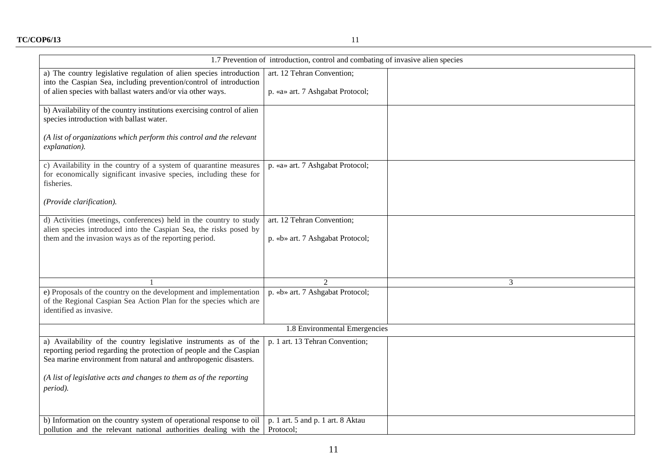| 1.7 Prevention of introduction, control and combating of invasive alien species                                                                                                                                                                                                                |                                                                |  |
|------------------------------------------------------------------------------------------------------------------------------------------------------------------------------------------------------------------------------------------------------------------------------------------------|----------------------------------------------------------------|--|
| a) The country legislative regulation of alien species introduction<br>into the Caspian Sea, including prevention/control of introduction<br>of alien species with ballast waters and/or via other ways.                                                                                       | art. 12 Tehran Convention;<br>p. «a» art. 7 Ashgabat Protocol; |  |
| b) Availability of the country institutions exercising control of alien<br>species introduction with ballast water.                                                                                                                                                                            |                                                                |  |
| (A list of organizations which perform this control and the relevant<br>explanation).                                                                                                                                                                                                          |                                                                |  |
| c) Availability in the country of a system of quarantine measures<br>for economically significant invasive species, including these for<br>fisheries.                                                                                                                                          | p. «a» art. 7 Ashgabat Protocol;                               |  |
| (Provide clarification).                                                                                                                                                                                                                                                                       |                                                                |  |
| d) Activities (meetings, conferences) held in the country to study<br>alien species introduced into the Caspian Sea, the risks posed by<br>them and the invasion ways as of the reporting period.                                                                                              | art. 12 Tehran Convention;<br>p. «b» art. 7 Ashgabat Protocol; |  |
|                                                                                                                                                                                                                                                                                                | 3                                                              |  |
| e) Proposals of the country on the development and implementation<br>of the Regional Caspian Sea Action Plan for the species which are<br>identified as invasive.                                                                                                                              | p. «b» art. 7 Ashgabat Protocol;                               |  |
| 1.8 Environmental Emergencies                                                                                                                                                                                                                                                                  |                                                                |  |
| a) Availability of the country legislative instruments as of the<br>reporting period regarding the protection of people and the Caspian<br>Sea marine environment from natural and anthropogenic disasters.<br>(A list of legislative acts and changes to them as of the reporting<br>period). | p. 1 art. 13 Tehran Convention;                                |  |
| b) Information on the country system of operational response to oil<br>pollution and the relevant national authorities dealing with the                                                                                                                                                        | p. 1 art. 5 and p. 1 art. 8 Aktau<br>Protocol;                 |  |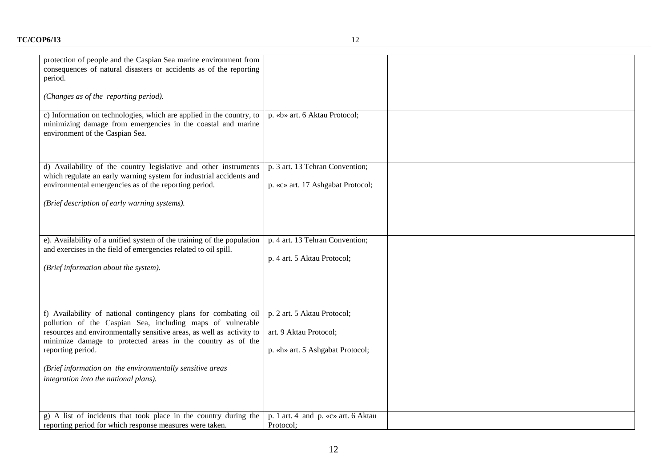| protection of people and the Caspian Sea marine environment from<br>consequences of natural disasters or accidents as of the reporting<br>period.<br>(Changes as of the reporting period).                                                                                                                                                                                                       |                                                                                           |  |
|--------------------------------------------------------------------------------------------------------------------------------------------------------------------------------------------------------------------------------------------------------------------------------------------------------------------------------------------------------------------------------------------------|-------------------------------------------------------------------------------------------|--|
| c) Information on technologies, which are applied in the country, to<br>minimizing damage from emergencies in the coastal and marine<br>environment of the Caspian Sea.                                                                                                                                                                                                                          | p. «b» art. 6 Aktau Protocol;                                                             |  |
| d) Availability of the country legislative and other instruments<br>which regulate an early warning system for industrial accidents and<br>environmental emergencies as of the reporting period.<br>(Brief description of early warning systems).                                                                                                                                                | p. 3 art. 13 Tehran Convention;<br>p. «c» art. 17 Ashgabat Protocol;                      |  |
| e). Availability of a unified system of the training of the population<br>and exercises in the field of emergencies related to oil spill.<br>(Brief information about the system).                                                                                                                                                                                                               | p. 4 art. 13 Tehran Convention;<br>p. 4 art. 5 Aktau Protocol;                            |  |
| f) Availability of national contingency plans for combating oil<br>pollution of the Caspian Sea, including maps of vulnerable<br>resources and environmentally sensitive areas, as well as activity to<br>minimize damage to protected areas in the country as of the<br>reporting period.<br>(Brief information on the environmentally sensitive areas<br>integration into the national plans). | p. 2 art. 5 Aktau Protocol;<br>art. 9 Aktau Protocol;<br>p. «h» art. 5 Ashgabat Protocol; |  |
| g) A list of incidents that took place in the country during the<br>reporting period for which response measures were taken.                                                                                                                                                                                                                                                                     | p. 1 art. 4 and p. «c» art. 6 Aktau<br>Protocol;                                          |  |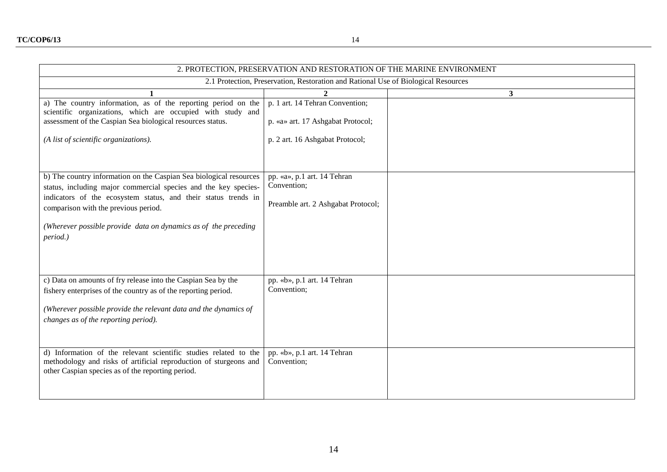| 2. PROTECTION, PRESERVATION AND RESTORATION OF THE MARINE ENVIRONMENT                                                                                                                                                                                                                                                          |                                                                                                         |                |
|--------------------------------------------------------------------------------------------------------------------------------------------------------------------------------------------------------------------------------------------------------------------------------------------------------------------------------|---------------------------------------------------------------------------------------------------------|----------------|
| 2.1 Protection, Preservation, Restoration and Rational Use of Biological Resources                                                                                                                                                                                                                                             |                                                                                                         |                |
|                                                                                                                                                                                                                                                                                                                                | $\mathbf{2}$                                                                                            | 3 <sup>1</sup> |
| a) The country information, as of the reporting period on the<br>scientific organizations, which are occupied with study and<br>assessment of the Caspian Sea biological resources status.<br>(A list of scientific organizations).                                                                                            | p. 1 art. 14 Tehran Convention;<br>p. «a» art. 17 Ashgabat Protocol;<br>p. 2 art. 16 Ashgabat Protocol; |                |
| b) The country information on the Caspian Sea biological resources<br>status, including major commercial species and the key species-<br>indicators of the ecosystem status, and their status trends in<br>comparison with the previous period.<br>(Wherever possible provide data on dynamics as of the preceding<br>period.) | pp. «a», p.1 art. 14 Tehran<br>Convention;<br>Preamble art. 2 Ashgabat Protocol;                        |                |
| c) Data on amounts of fry release into the Caspian Sea by the<br>fishery enterprises of the country as of the reporting period.<br>(Wherever possible provide the relevant data and the dynamics of<br>changes as of the reporting period).                                                                                    | pp. «b», p.1 art. 14 Tehran<br>Convention;                                                              |                |
| d) Information of the relevant scientific studies related to the<br>methodology and risks of artificial reproduction of sturgeons and<br>other Caspian species as of the reporting period.                                                                                                                                     | pp. «b», p.1 art. 14 Tehran<br>Convention;                                                              |                |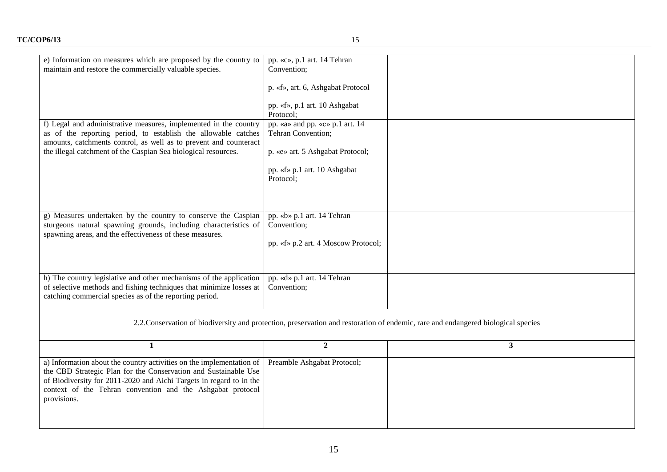| e) Information on measures which are proposed by the country to<br>maintain and restore the commercially valuable species.                                                                                                                                                                  | pp. «c», p.1 art. 14 Tehran<br>Convention;                                       |                |
|---------------------------------------------------------------------------------------------------------------------------------------------------------------------------------------------------------------------------------------------------------------------------------------------|----------------------------------------------------------------------------------|----------------|
|                                                                                                                                                                                                                                                                                             | p. «f», art. 6, Ashgabat Protocol                                                |                |
|                                                                                                                                                                                                                                                                                             | pp. «f», p.1 art. 10 Ashgabat<br>Protocol;                                       |                |
| f) Legal and administrative measures, implemented in the country<br>as of the reporting period, to establish the allowable catches<br>amounts, catchments control, as well as to prevent and counteract                                                                                     | pp. «a» and pp. «c» p.1 art. 14<br>Tehran Convention;                            |                |
| the illegal catchment of the Caspian Sea biological resources.                                                                                                                                                                                                                              | p. «e» art. 5 Ashgabat Protocol;                                                 |                |
|                                                                                                                                                                                                                                                                                             | pp. «f» p.1 art. 10 Ashgabat<br>Protocol;                                        |                |
|                                                                                                                                                                                                                                                                                             |                                                                                  |                |
| g) Measures undertaken by the country to conserve the Caspian<br>sturgeons natural spawning grounds, including characteristics of<br>spawning areas, and the effectiveness of these measures.                                                                                               | pp. «b» p.1 art. 14 Tehran<br>Convention;<br>pp. «f» p.2 art. 4 Moscow Protocol; |                |
| h) The country legislative and other mechanisms of the application<br>of selective methods and fishing techniques that minimize losses at<br>catching commercial species as of the reporting period.                                                                                        | pp. «d» p.1 art. 14 Tehran<br>Convention;                                        |                |
| 2.2. Conservation of biodiversity and protection, preservation and restoration of endemic, rare and endangered biological species                                                                                                                                                           |                                                                                  |                |
| $\mathbf{1}$                                                                                                                                                                                                                                                                                | $\boldsymbol{2}$                                                                 | 3 <sup>1</sup> |
| a) Information about the country activities on the implementation of<br>the CBD Strategic Plan for the Conservation and Sustainable Use<br>of Biodiversity for 2011-2020 and Aichi Targets in regard to in the<br>context of the Tehran convention and the Ashgabat protocol<br>provisions. | Preamble Ashgabat Protocol;                                                      |                |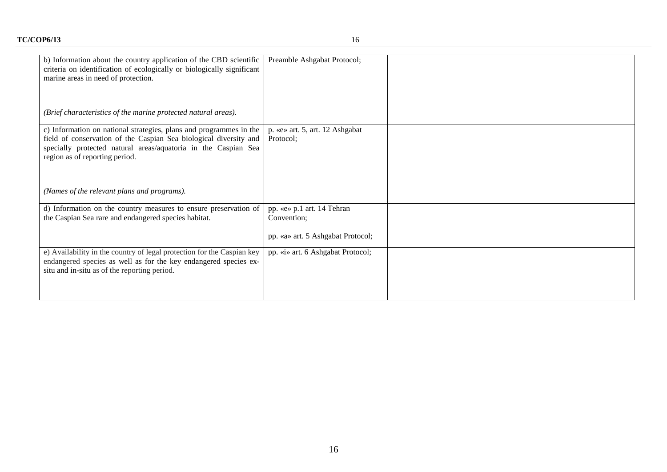| b) Information about the country application of the CBD scientific<br>criteria on identification of ecologically or biologically significant<br>marine areas in need of protection.                                                         | Preamble Ashgabat Protocol;                                                    |  |
|---------------------------------------------------------------------------------------------------------------------------------------------------------------------------------------------------------------------------------------------|--------------------------------------------------------------------------------|--|
| (Brief characteristics of the marine protected natural areas).                                                                                                                                                                              |                                                                                |  |
| c) Information on national strategies, plans and programmes in the<br>field of conservation of the Caspian Sea biological diversity and<br>specially protected natural areas/aquatoria in the Caspian Sea<br>region as of reporting period. | p. «e» art. 5, art. 12 Ashgabat<br>Protocol;                                   |  |
| (Names of the relevant plans and programs).                                                                                                                                                                                                 |                                                                                |  |
| d) Information on the country measures to ensure preservation of<br>the Caspian Sea rare and endangered species habitat.                                                                                                                    | pp. «e» p.1 art. 14 Tehran<br>Convention;<br>pp. «a» art. 5 Ashgabat Protocol; |  |
| e) Availability in the country of legal protection for the Caspian key<br>endangered species as well as for the key endangered species ex-<br>situ and in-situ as of the reporting period.                                                  | pp. «i» art. 6 Ashgabat Protocol;                                              |  |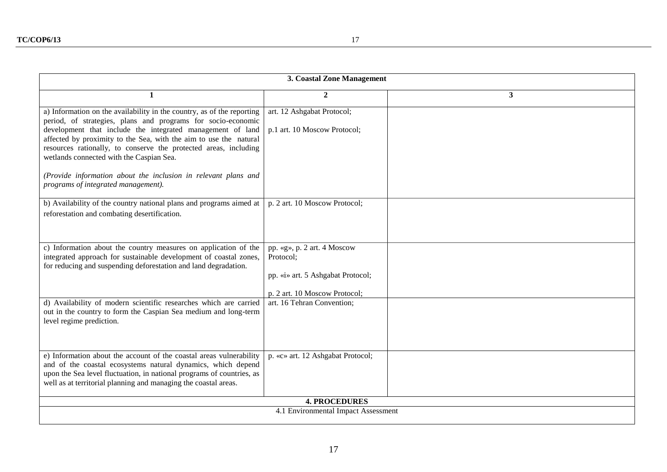| 3. Coastal Zone Management                                                                                                                                                                                                                                                                                                                                                                                                                                                                         |                                                                                                                |   |
|----------------------------------------------------------------------------------------------------------------------------------------------------------------------------------------------------------------------------------------------------------------------------------------------------------------------------------------------------------------------------------------------------------------------------------------------------------------------------------------------------|----------------------------------------------------------------------------------------------------------------|---|
| 1                                                                                                                                                                                                                                                                                                                                                                                                                                                                                                  | $\overline{2}$                                                                                                 | 3 |
| a) Information on the availability in the country, as of the reporting<br>period, of strategies, plans and programs for socio-economic<br>development that include the integrated management of land<br>affected by proximity to the Sea, with the aim to use the natural<br>resources rationally, to conserve the protected areas, including<br>wetlands connected with the Caspian Sea.<br>(Provide information about the inclusion in relevant plans and<br>programs of integrated management). | art. 12 Ashgabat Protocol;<br>p.1 art. 10 Moscow Protocol;                                                     |   |
| b) Availability of the country national plans and programs aimed at<br>reforestation and combating desertification.                                                                                                                                                                                                                                                                                                                                                                                | p. 2 art. 10 Moscow Protocol;                                                                                  |   |
| c) Information about the country measures on application of the<br>integrated approach for sustainable development of coastal zones,<br>for reducing and suspending deforestation and land degradation.                                                                                                                                                                                                                                                                                            | pp. «g», p. 2 art. 4 Moscow<br>Protocol;<br>pp. «i» art. 5 Ashgabat Protocol;<br>p. 2 art. 10 Moscow Protocol; |   |
| d) Availability of modern scientific researches which are carried<br>out in the country to form the Caspian Sea medium and long-term<br>level regime prediction.                                                                                                                                                                                                                                                                                                                                   | art. 16 Tehran Convention;                                                                                     |   |
| e) Information about the account of the coastal areas vulnerability<br>and of the coastal ecosystems natural dynamics, which depend<br>upon the Sea level fluctuation, in national programs of countries, as<br>well as at territorial planning and managing the coastal areas.                                                                                                                                                                                                                    | p. «c» art. 12 Ashgabat Protocol;                                                                              |   |
| <b>4. PROCEDURES</b>                                                                                                                                                                                                                                                                                                                                                                                                                                                                               |                                                                                                                |   |
| 4.1 Environmental Impact Assessment                                                                                                                                                                                                                                                                                                                                                                                                                                                                |                                                                                                                |   |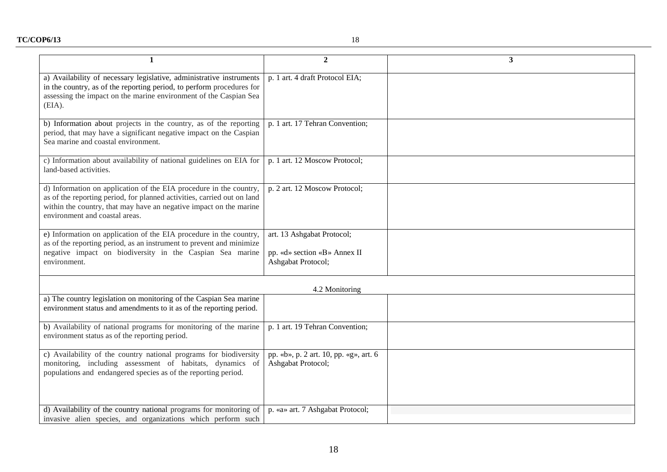| $\mathbf{1}$                                                                                                                                                                                                                                          | $\overline{2}$                                                                   | $\overline{\mathbf{3}}$ |
|-------------------------------------------------------------------------------------------------------------------------------------------------------------------------------------------------------------------------------------------------------|----------------------------------------------------------------------------------|-------------------------|
| a) Availability of necessary legislative, administrative instruments<br>in the country, as of the reporting period, to perform procedures for<br>assessing the impact on the marine environment of the Caspian Sea<br>(EIA).                          | p. 1 art. 4 draft Protocol EIA;                                                  |                         |
| b) Information about projects in the country, as of the reporting<br>period, that may have a significant negative impact on the Caspian<br>Sea marine and coastal environment.                                                                        | p. 1 art. 17 Tehran Convention;                                                  |                         |
| c) Information about availability of national guidelines on EIA for<br>land-based activities.                                                                                                                                                         | p. 1 art. 12 Moscow Protocol;                                                    |                         |
| d) Information on application of the EIA procedure in the country,<br>as of the reporting period, for planned activities, carried out on land<br>within the country, that may have an negative impact on the marine<br>environment and coastal areas. | p. 2 art. 12 Moscow Protocol;                                                    |                         |
| e) Information on application of the EIA procedure in the country,<br>as of the reporting period, as an instrument to prevent and minimize<br>negative impact on biodiversity in the Caspian Sea marine<br>environment.                               | art. 13 Ashgabat Protocol;<br>pp. «d» section «B» Annex II<br>Ashgabat Protocol; |                         |
|                                                                                                                                                                                                                                                       | 4.2 Monitoring                                                                   |                         |
| a) The country legislation on monitoring of the Caspian Sea marine<br>environment status and amendments to it as of the reporting period.                                                                                                             |                                                                                  |                         |
| b) Availability of national programs for monitoring of the marine<br>environment status as of the reporting period.                                                                                                                                   | p. 1 art. 19 Tehran Convention;                                                  |                         |
| c) Availability of the country national programs for biodiversity<br>monitoring, including assessment of habitats, dynamics<br><sub>of</sub><br>populations and endangered species as of the reporting period.                                        | pp. «b», p. 2 art. 10, pp. «g», art. 6<br>Ashgabat Protocol;                     |                         |
| d) Availability of the country national programs for monitoring of<br>invasive alien species, and organizations which perform such                                                                                                                    | p. «a» art. 7 Ashgabat Protocol;                                                 |                         |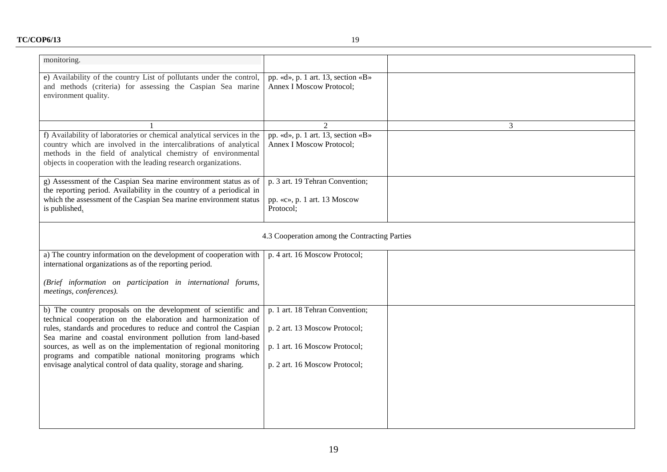| monitoring.                                                                                                                                                                                                                                                                     |                                                                       |   |
|---------------------------------------------------------------------------------------------------------------------------------------------------------------------------------------------------------------------------------------------------------------------------------|-----------------------------------------------------------------------|---|
| e) Availability of the country List of pollutants under the control,<br>and methods (criteria) for assessing the Caspian Sea marine<br>environment quality.                                                                                                                     | pp. «d», p. 1 art. 13, section «B»<br>Annex I Moscow Protocol;        |   |
|                                                                                                                                                                                                                                                                                 | 2                                                                     | 3 |
| f) Availability of laboratories or chemical analytical services in the<br>country which are involved in the intercalibrations of analytical<br>methods in the field of analytical chemistry of environmental<br>objects in cooperation with the leading research organizations. | pp. «d», p. 1 art. 13, section «B»<br><b>Annex I Moscow Protocol;</b> |   |
| g) Assessment of the Caspian Sea marine environment status as of                                                                                                                                                                                                                | p. 3 art. 19 Tehran Convention;                                       |   |
| the reporting period. Availability in the country of a periodical in<br>which the assessment of the Caspian Sea marine environment status<br>is published.                                                                                                                      | pp. «c», p. 1 art. 13 Moscow<br>Protocol;                             |   |
| 4.3 Cooperation among the Contracting Parties                                                                                                                                                                                                                                   |                                                                       |   |
| a) The country information on the development of cooperation with<br>international organizations as of the reporting period.                                                                                                                                                    | p. 4 art. 16 Moscow Protocol;                                         |   |
| (Brief information on participation in international forums,<br>meetings, conferences).                                                                                                                                                                                         |                                                                       |   |
| b) The country proposals on the development of scientific and<br>technical cooperation on the elaboration and harmonization of<br>rules, standards and procedures to reduce and control the Caspian                                                                             | p. 1 art. 18 Tehran Convention;<br>p. 2 art. 13 Moscow Protocol;      |   |
| Sea marine and coastal environment pollution from land-based                                                                                                                                                                                                                    |                                                                       |   |
| sources, as well as on the implementation of regional monitoring<br>programs and compatible national monitoring programs which                                                                                                                                                  | p. 1 art. 16 Moscow Protocol;                                         |   |
| envisage analytical control of data quality, storage and sharing.                                                                                                                                                                                                               | p. 2 art. 16 Moscow Protocol;                                         |   |
|                                                                                                                                                                                                                                                                                 |                                                                       |   |
|                                                                                                                                                                                                                                                                                 |                                                                       |   |
|                                                                                                                                                                                                                                                                                 |                                                                       |   |
|                                                                                                                                                                                                                                                                                 |                                                                       |   |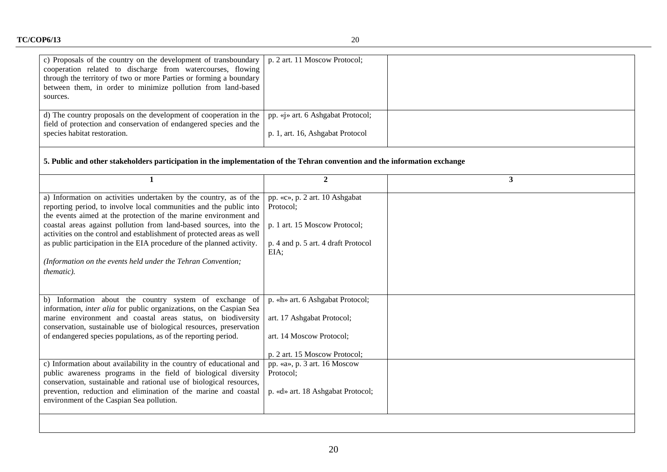| c) Proposals of the country on the development of transboundary<br>cooperation related to discharge from watercourses, flowing<br>through the territory of two or more Parties or forming a boundary<br>between them, in order to minimize pollution from land-based<br>sources.                                                                                                                                                                                                                                  | p. 2 art. 11 Moscow Protocol;                                                                                               |                         |
|-------------------------------------------------------------------------------------------------------------------------------------------------------------------------------------------------------------------------------------------------------------------------------------------------------------------------------------------------------------------------------------------------------------------------------------------------------------------------------------------------------------------|-----------------------------------------------------------------------------------------------------------------------------|-------------------------|
| d) The country proposals on the development of cooperation in the                                                                                                                                                                                                                                                                                                                                                                                                                                                 | pp. «j» art. 6 Ashgabat Protocol;                                                                                           |                         |
| field of protection and conservation of endangered species and the<br>species habitat restoration.                                                                                                                                                                                                                                                                                                                                                                                                                | p. 1, art. 16, Ashgabat Protocol                                                                                            |                         |
| 5. Public and other stakeholders participation in the implementation of the Tehran convention and the information exchange                                                                                                                                                                                                                                                                                                                                                                                        |                                                                                                                             |                         |
| $\mathbf{1}$                                                                                                                                                                                                                                                                                                                                                                                                                                                                                                      | $\overline{2}$                                                                                                              | $\overline{\mathbf{3}}$ |
| a) Information on activities undertaken by the country, as of the<br>reporting period, to involve local communities and the public into<br>the events aimed at the protection of the marine environment and<br>coastal areas against pollution from land-based sources, into the<br>activities on the control and establishment of protected areas as well<br>as public participation in the EIA procedure of the planned activity.<br>(Information on the events held under the Tehran Convention;<br>thematic). | pp. «c», p. 2 art. 10 Ashgabat<br>Protocol;<br>p. 1 art. 15 Moscow Protocol;<br>p. 4 and p. 5 art. 4 draft Protocol<br>EIA; |                         |
| b) Information about the country system of exchange of<br>information, <i>inter alia</i> for public organizations, on the Caspian Sea<br>marine environment and coastal areas status, on biodiversity<br>conservation, sustainable use of biological resources, preservation<br>of endangered species populations, as of the reporting period.                                                                                                                                                                    | p. «h» art. 6 Ashgabat Protocol;<br>art. 17 Ashgabat Protocol;<br>art. 14 Moscow Protocol;                                  |                         |
|                                                                                                                                                                                                                                                                                                                                                                                                                                                                                                                   | p. 2 art. 15 Moscow Protocol;                                                                                               |                         |
| c) Information about availability in the country of educational and<br>public awareness programs in the field of biological diversity<br>conservation, sustainable and rational use of biological resources,<br>prevention, reduction and elimination of the marine and coastal<br>environment of the Caspian Sea pollution.                                                                                                                                                                                      | pp. «a», p. 3 art. 16 Moscow<br>Protocol;<br>p. «d» art. 18 Ashgabat Protocol;                                              |                         |
|                                                                                                                                                                                                                                                                                                                                                                                                                                                                                                                   |                                                                                                                             |                         |